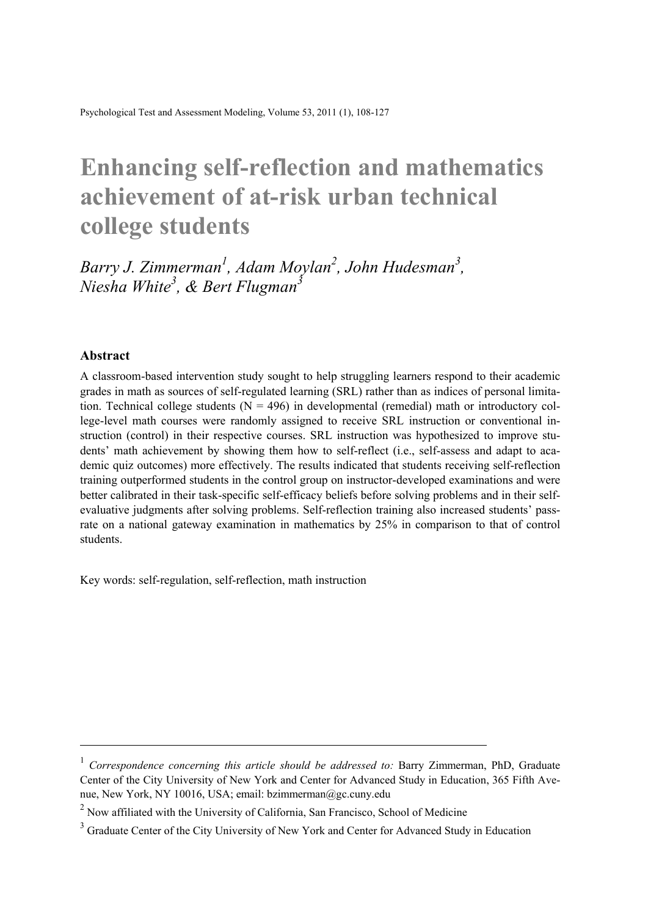Psychological Test and Assessment Modeling, Volume 53, 2011 (1), 108-127

# **Enhancing self-reflection and mathematics achievement of at-risk urban technical college students**

Barry J. Zimmerman<sup>1</sup>, Adam Moylan<sup>2</sup>, John Hudesman<sup>3</sup>, *Niesha White3 , & Bert Flugman3*

#### **Abstract**

l

A classroom-based intervention study sought to help struggling learners respond to their academic grades in math as sources of self-regulated learning (SRL) rather than as indices of personal limitation. Technical college students  $(N = 496)$  in developmental (remedial) math or introductory college-level math courses were randomly assigned to receive SRL instruction or conventional instruction (control) in their respective courses. SRL instruction was hypothesized to improve students' math achievement by showing them how to self-reflect (i.e., self-assess and adapt to academic quiz outcomes) more effectively. The results indicated that students receiving self-reflection training outperformed students in the control group on instructor-developed examinations and were better calibrated in their task-specific self-efficacy beliefs before solving problems and in their selfevaluative judgments after solving problems. Self-reflection training also increased students' passrate on a national gateway examination in mathematics by 25% in comparison to that of control students.

Key words: self-regulation, self-reflection, math instruction

<sup>&</sup>lt;sup>1</sup> *Correspondence concerning this article should be addressed to: Barry Zimmerman, PhD, Graduate* Center of the City University of New York and Center for Advanced Study in Education, 365 Fifth Avenue, New York, NY 10016, USA; email: bzimmerman@gc.cuny.edu

 $2$  Now affiliated with the University of California, San Francisco, School of Medicine

<sup>&</sup>lt;sup>3</sup> Graduate Center of the City University of New York and Center for Advanced Study in Education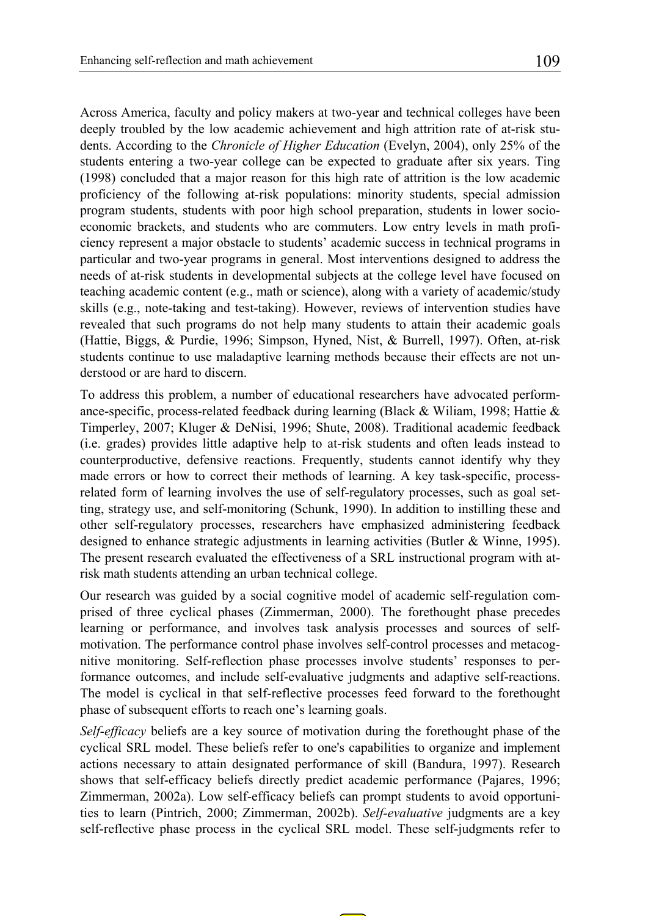Across America, faculty and policy makers at two-year and technical colleges have been deeply troubled by the low academic achievement and high attrition rate of at-risk students. According to the *Chronicle of Higher Education* (Evelyn, 2004), only 25% of the students entering a two-year college can be expected to graduate after six years. Ting (1998) concluded that a major reason for this high rate of attrition is the low academic proficiency of the following at-risk populations: minority students, special admission program students, students with poor high school preparation, students in lower socioeconomic brackets, and students who are commuters. Low entry levels in math proficiency represent a major obstacle to students' academic success in technical programs in particular and two-year programs in general. Most interventions designed to address the needs of at-risk students in developmental subjects at the college level have focused on teaching academic content (e.g., math or science), along with a variety of academic/study skills (e.g., note-taking and test-taking). However, reviews of intervention studies have revealed that such programs do not help many students to attain their academic goals (Hattie, Biggs, & Purdie, 1996; Simpson, Hyned, Nist, & Burrell, 1997). Often, at-risk students continue to use maladaptive learning methods because their effects are not understood or are hard to discern.

To address this problem, a number of educational researchers have advocated performance-specific, process-related feedback during learning (Black  $&$  Wiliam, 1998; Hattie  $&$ Timperley, 2007; Kluger & DeNisi, 1996; Shute, 2008). Traditional academic feedback (i.e. grades) provides little adaptive help to at-risk students and often leads instead to counterproductive, defensive reactions. Frequently, students cannot identify why they made errors or how to correct their methods of learning. A key task-specific, processrelated form of learning involves the use of self-regulatory processes, such as goal setting, strategy use, and self-monitoring (Schunk, 1990). In addition to instilling these and other self-regulatory processes, researchers have emphasized administering feedback designed to enhance strategic adjustments in learning activities (Butler & Winne, 1995). The present research evaluated the effectiveness of a SRL instructional program with atrisk math students attending an urban technical college.

Our research was guided by a social cognitive model of academic self-regulation comprised of three cyclical phases (Zimmerman, 2000). The forethought phase precedes learning or performance, and involves task analysis processes and sources of selfmotivation. The performance control phase involves self-control processes and metacognitive monitoring. Self-reflection phase processes involve students' responses to performance outcomes, and include self-evaluative judgments and adaptive self-reactions. The model is cyclical in that self-reflective processes feed forward to the forethought phase of subsequent efforts to reach one's learning goals.

*Self-efficacy* beliefs are a key source of motivation during the forethought phase of the cyclical SRL model. These beliefs refer to one's capabilities to organize and implement actions necessary to attain designated performance of skill (Bandura, 1997). Research shows that self-efficacy beliefs directly predict academic performance (Pajares, 1996; Zimmerman, 2002a). Low self-efficacy beliefs can prompt students to avoid opportunities to learn (Pintrich, 2000; Zimmerman, 2002b). *Self-evaluative* judgments are a key self-reflective phase process in the cyclical SRL model. These self-judgments refer to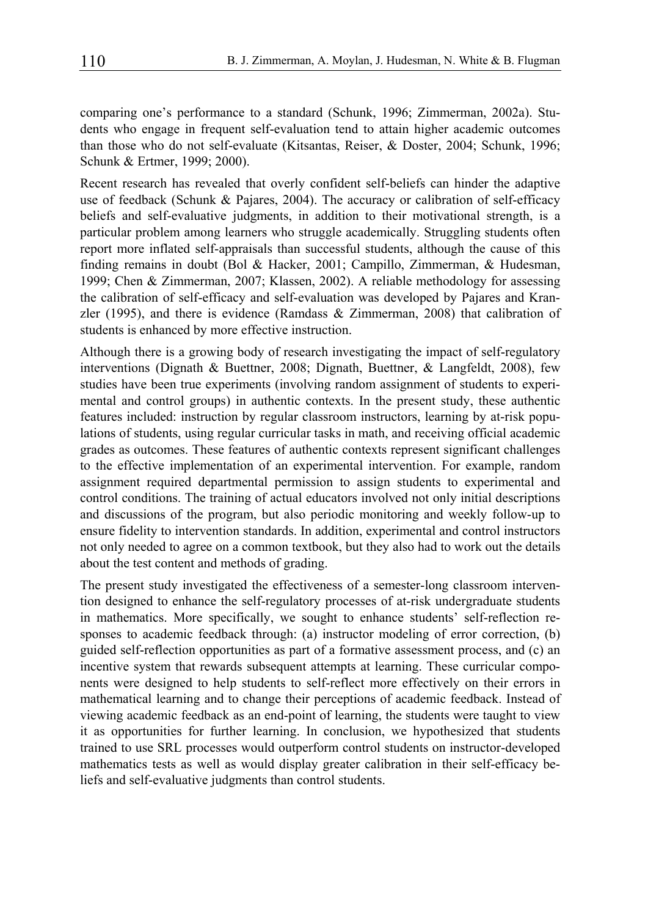comparing one's performance to a standard (Schunk, 1996; Zimmerman, 2002a). Students who engage in frequent self-evaluation tend to attain higher academic outcomes than those who do not self-evaluate (Kitsantas, Reiser, & Doster, 2004; Schunk, 1996; Schunk & Ertmer, 1999; 2000).

Recent research has revealed that overly confident self-beliefs can hinder the adaptive use of feedback (Schunk & Pajares, 2004). The accuracy or calibration of self-efficacy beliefs and self-evaluative judgments, in addition to their motivational strength, is a particular problem among learners who struggle academically. Struggling students often report more inflated self-appraisals than successful students, although the cause of this finding remains in doubt (Bol & Hacker, 2001; Campillo, Zimmerman, & Hudesman, 1999; Chen & Zimmerman, 2007; Klassen, 2002). A reliable methodology for assessing the calibration of self-efficacy and self-evaluation was developed by Pajares and Kranzler (1995), and there is evidence (Ramdass  $\&$  Zimmerman, 2008) that calibration of students is enhanced by more effective instruction.

Although there is a growing body of research investigating the impact of self-regulatory interventions (Dignath & Buettner, 2008; Dignath, Buettner, & Langfeldt, 2008), few studies have been true experiments (involving random assignment of students to experimental and control groups) in authentic contexts. In the present study, these authentic features included: instruction by regular classroom instructors, learning by at-risk populations of students, using regular curricular tasks in math, and receiving official academic grades as outcomes. These features of authentic contexts represent significant challenges to the effective implementation of an experimental intervention. For example, random assignment required departmental permission to assign students to experimental and control conditions. The training of actual educators involved not only initial descriptions and discussions of the program, but also periodic monitoring and weekly follow-up to ensure fidelity to intervention standards. In addition, experimental and control instructors not only needed to agree on a common textbook, but they also had to work out the details about the test content and methods of grading.

The present study investigated the effectiveness of a semester-long classroom intervention designed to enhance the self-regulatory processes of at-risk undergraduate students in mathematics. More specifically, we sought to enhance students' self-reflection responses to academic feedback through: (a) instructor modeling of error correction, (b) guided self-reflection opportunities as part of a formative assessment process, and (c) an incentive system that rewards subsequent attempts at learning. These curricular components were designed to help students to self-reflect more effectively on their errors in mathematical learning and to change their perceptions of academic feedback. Instead of viewing academic feedback as an end-point of learning, the students were taught to view it as opportunities for further learning. In conclusion, we hypothesized that students trained to use SRL processes would outperform control students on instructor-developed mathematics tests as well as would display greater calibration in their self-efficacy beliefs and self-evaluative judgments than control students.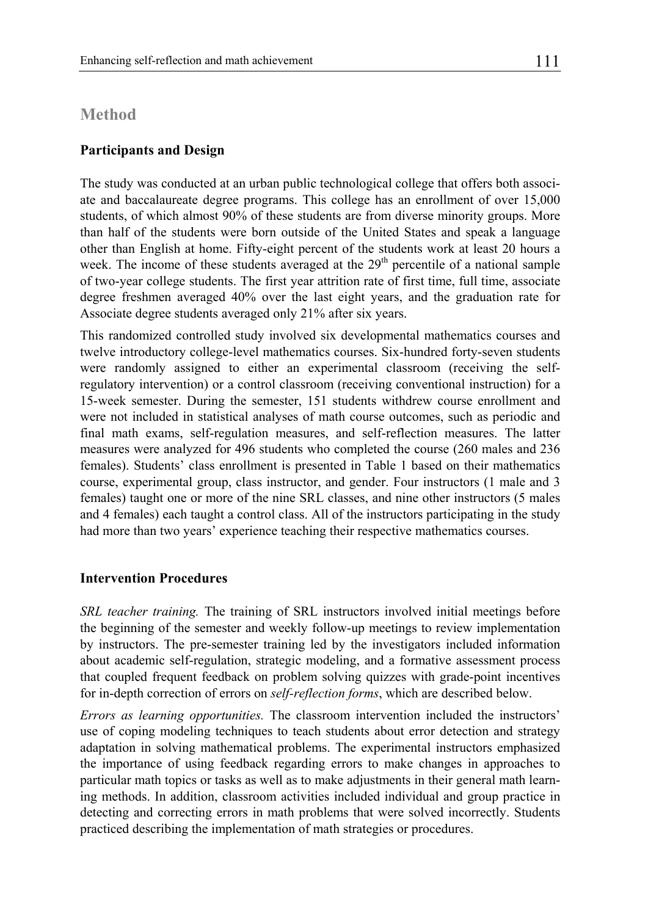### **Method**

#### **Participants and Design**

The study was conducted at an urban public technological college that offers both associate and baccalaureate degree programs. This college has an enrollment of over 15,000 students, of which almost 90% of these students are from diverse minority groups. More than half of the students were born outside of the United States and speak a language other than English at home. Fifty-eight percent of the students work at least 20 hours a week. The income of these students averaged at the  $29<sup>th</sup>$  percentile of a national sample of two-year college students. The first year attrition rate of first time, full time, associate degree freshmen averaged 40% over the last eight years, and the graduation rate for Associate degree students averaged only 21% after six years.

This randomized controlled study involved six developmental mathematics courses and twelve introductory college-level mathematics courses. Six-hundred forty-seven students were randomly assigned to either an experimental classroom (receiving the selfregulatory intervention) or a control classroom (receiving conventional instruction) for a 15-week semester. During the semester, 151 students withdrew course enrollment and were not included in statistical analyses of math course outcomes, such as periodic and final math exams, self-regulation measures, and self-reflection measures. The latter measures were analyzed for 496 students who completed the course (260 males and 236 females). Students' class enrollment is presented in Table 1 based on their mathematics course, experimental group, class instructor, and gender. Four instructors (1 male and 3 females) taught one or more of the nine SRL classes, and nine other instructors (5 males and 4 females) each taught a control class. All of the instructors participating in the study had more than two years' experience teaching their respective mathematics courses.

#### **Intervention Procedures**

*SRL teacher training.* The training of SRL instructors involved initial meetings before the beginning of the semester and weekly follow-up meetings to review implementation by instructors. The pre-semester training led by the investigators included information about academic self-regulation, strategic modeling, and a formative assessment process that coupled frequent feedback on problem solving quizzes with grade-point incentives for in-depth correction of errors on *self-reflection forms*, which are described below.

*Errors as learning opportunities.* The classroom intervention included the instructors' use of coping modeling techniques to teach students about error detection and strategy adaptation in solving mathematical problems. The experimental instructors emphasized the importance of using feedback regarding errors to make changes in approaches to particular math topics or tasks as well as to make adjustments in their general math learning methods. In addition, classroom activities included individual and group practice in detecting and correcting errors in math problems that were solved incorrectly. Students practiced describing the implementation of math strategies or procedures.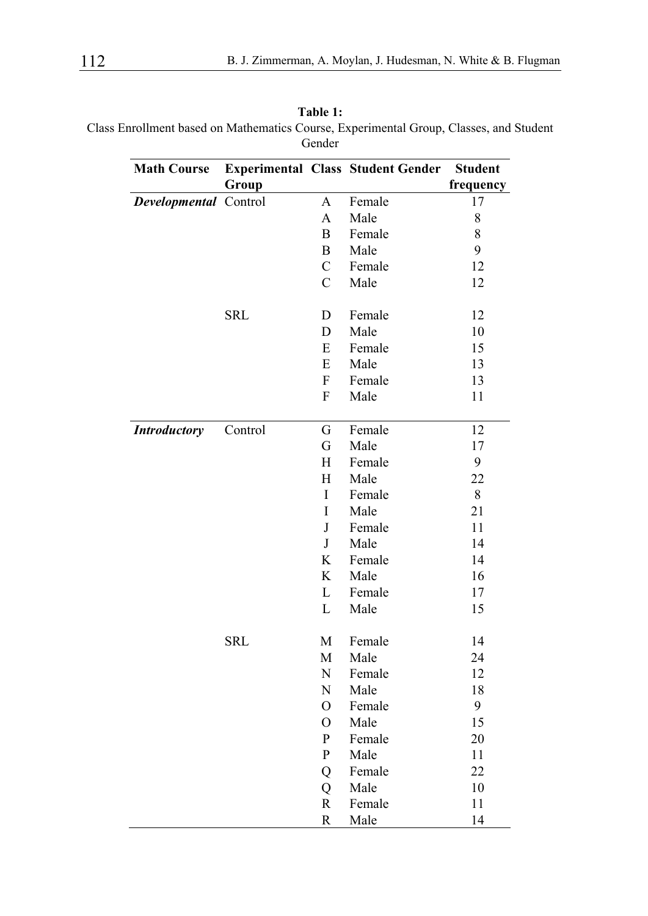| Table 1:                                                                               |
|----------------------------------------------------------------------------------------|
| Class Enrollment based on Mathematics Course, Experimental Group, Classes, and Student |
| Gender                                                                                 |

| <b>Math Course</b>    |            |                           | <b>Experimental Class Student Gender</b> | <b>Student</b> |
|-----------------------|------------|---------------------------|------------------------------------------|----------------|
|                       | Group      |                           |                                          | frequency      |
| Developmental Control |            | A                         | Female                                   | 17             |
|                       |            | A                         | Male                                     | 8              |
|                       |            | B                         | Female                                   | 8              |
|                       |            | B                         | Male                                     | 9              |
|                       |            | C                         | Female                                   | 12             |
|                       |            | $\mathcal{C}$             | Male                                     | 12             |
|                       | <b>SRL</b> | D                         | Female                                   | 12             |
|                       |            | D                         | Male                                     | $10\,$         |
|                       |            | Е                         | Female                                   | 15             |
|                       |            | E                         | Male                                     | 13             |
|                       |            | F                         | Female                                   | 13             |
|                       |            | F                         | Male                                     | 11             |
| <b>Introductory</b>   | Control    | G                         | Female                                   | 12             |
|                       |            | G                         | Male                                     | 17             |
|                       |            | $\boldsymbol{\mathrm{H}}$ | Female                                   | 9              |
|                       |            | $\boldsymbol{\mathrm{H}}$ | Male                                     | 22             |
|                       |            | $\bf{I}$                  | Female                                   | 8              |
|                       |            | I                         | Male                                     | 21             |
|                       |            | $\bf J$                   | Female                                   | 11             |
|                       |            | $\bf J$                   | Male                                     | 14             |
|                       |            | K                         | Female                                   | 14             |
|                       |            | K                         | Male                                     | 16             |
|                       |            | $\mathbf L$               | Female                                   | 17             |
|                       |            | $\mathbf L$               | Male                                     | 15             |
|                       | <b>SRL</b> | M                         | Female                                   | 14             |
|                       |            | М                         | Male                                     | 24             |
|                       |            | N                         | Female                                   | 12             |
|                       |            | N                         | Male                                     | 18             |
|                       |            | O                         | Female                                   | 9              |
|                       |            | O                         | Male                                     | 15             |
|                       |            | P                         | Female                                   | 20             |
|                       |            | P                         | Male                                     | 11             |
|                       |            | Q                         | Female                                   | 22             |
|                       |            | Q                         | Male                                     | 10             |
|                       |            | $\mathbf R$               | Female                                   | 11             |
|                       |            | $\mathbb{R}$              | Male                                     | 14             |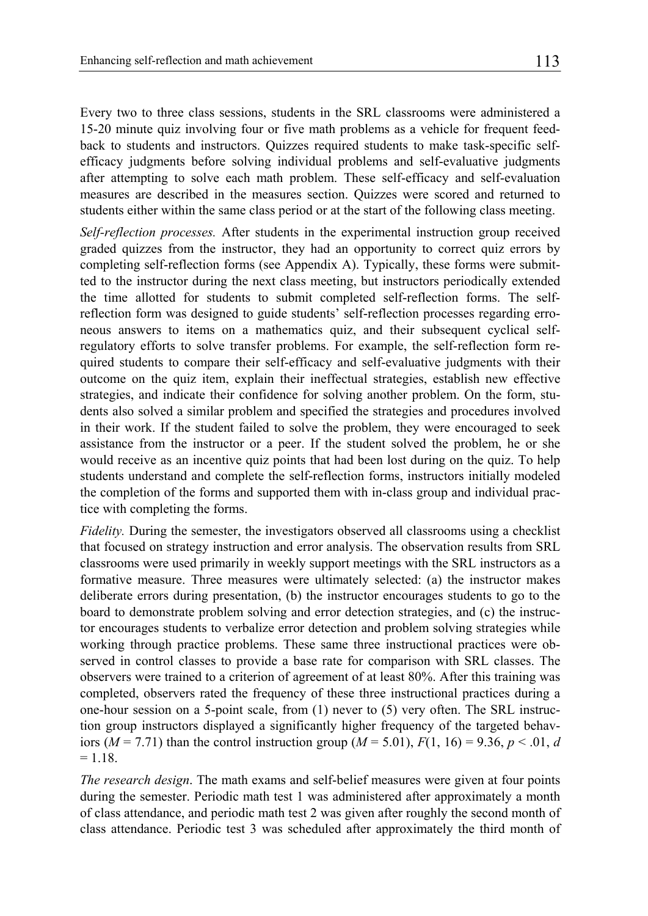Every two to three class sessions, students in the SRL classrooms were administered a 15-20 minute quiz involving four or five math problems as a vehicle for frequent feedback to students and instructors. Quizzes required students to make task-specific selfefficacy judgments before solving individual problems and self-evaluative judgments after attempting to solve each math problem. These self-efficacy and self-evaluation measures are described in the measures section. Quizzes were scored and returned to students either within the same class period or at the start of the following class meeting.

*Self-reflection processes.* After students in the experimental instruction group received graded quizzes from the instructor, they had an opportunity to correct quiz errors by completing self-reflection forms (see Appendix A). Typically, these forms were submitted to the instructor during the next class meeting, but instructors periodically extended the time allotted for students to submit completed self-reflection forms. The selfreflection form was designed to guide students' self-reflection processes regarding erroneous answers to items on a mathematics quiz, and their subsequent cyclical selfregulatory efforts to solve transfer problems. For example, the self-reflection form required students to compare their self-efficacy and self-evaluative judgments with their outcome on the quiz item, explain their ineffectual strategies, establish new effective strategies, and indicate their confidence for solving another problem. On the form, students also solved a similar problem and specified the strategies and procedures involved in their work. If the student failed to solve the problem, they were encouraged to seek assistance from the instructor or a peer. If the student solved the problem, he or she would receive as an incentive quiz points that had been lost during on the quiz. To help students understand and complete the self-reflection forms, instructors initially modeled the completion of the forms and supported them with in-class group and individual practice with completing the forms.

*Fidelity*. During the semester, the investigators observed all classrooms using a checklist that focused on strategy instruction and error analysis. The observation results from SRL classrooms were used primarily in weekly support meetings with the SRL instructors as a formative measure. Three measures were ultimately selected: (a) the instructor makes deliberate errors during presentation, (b) the instructor encourages students to go to the board to demonstrate problem solving and error detection strategies, and (c) the instructor encourages students to verbalize error detection and problem solving strategies while working through practice problems. These same three instructional practices were observed in control classes to provide a base rate for comparison with SRL classes. The observers were trained to a criterion of agreement of at least 80%. After this training was completed, observers rated the frequency of these three instructional practices during a one-hour session on a 5-point scale, from (1) never to (5) very often. The SRL instruction group instructors displayed a significantly higher frequency of the targeted behaviors ( $M = 7.71$ ) than the control instruction group ( $M = 5.01$ ),  $F(1, 16) = 9.36$ ,  $p < .01$ , *d*  $= 1.18$ 

*The research design*. The math exams and self-belief measures were given at four points during the semester. Periodic math test 1 was administered after approximately a month of class attendance, and periodic math test 2 was given after roughly the second month of class attendance. Periodic test 3 was scheduled after approximately the third month of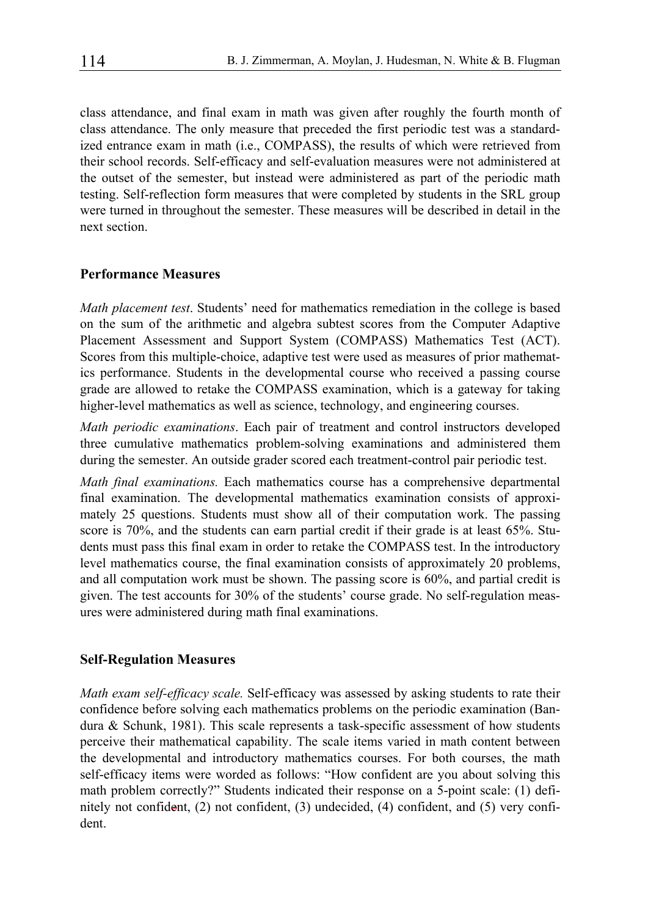class attendance, and final exam in math was given after roughly the fourth month of class attendance. The only measure that preceded the first periodic test was a standardized entrance exam in math (i.e., COMPASS), the results of which were retrieved from their school records. Self-efficacy and self-evaluation measures were not administered at the outset of the semester, but instead were administered as part of the periodic math testing. Self-reflection form measures that were completed by students in the SRL group were turned in throughout the semester. These measures will be described in detail in the next section.

#### **Performance Measures**

*Math placement test*. Students' need for mathematics remediation in the college is based on the sum of the arithmetic and algebra subtest scores from the Computer Adaptive Placement Assessment and Support System (COMPASS) Mathematics Test (ACT). Scores from this multiple-choice, adaptive test were used as measures of prior mathematics performance. Students in the developmental course who received a passing course grade are allowed to retake the COMPASS examination, which is a gateway for taking higher-level mathematics as well as science, technology, and engineering courses.

*Math periodic examinations*. Each pair of treatment and control instructors developed three cumulative mathematics problem-solving examinations and administered them during the semester. An outside grader scored each treatment-control pair periodic test.

*Math final examinations.* Each mathematics course has a comprehensive departmental final examination. The developmental mathematics examination consists of approximately 25 questions. Students must show all of their computation work. The passing score is 70%, and the students can earn partial credit if their grade is at least 65%. Students must pass this final exam in order to retake the COMPASS test. In the introductory level mathematics course, the final examination consists of approximately 20 problems, and all computation work must be shown. The passing score is 60%, and partial credit is given. The test accounts for 30% of the students' course grade. No self-regulation measures were administered during math final examinations.

#### **Self-Regulation Measures**

*Math exam self-efficacy scale.* Self-efficacy was assessed by asking students to rate their confidence before solving each mathematics problems on the periodic examination (Bandura & Schunk, 1981). This scale represents a task-specific assessment of how students perceive their mathematical capability. The scale items varied in math content between the developmental and introductory mathematics courses. For both courses, the math self-efficacy items were worded as follows: "How confident are you about solving this math problem correctly?" Students indicated their response on a 5-point scale: (1) definitely not confident, (2) not confident, (3) undecided, (4) confident, and (5) very confident.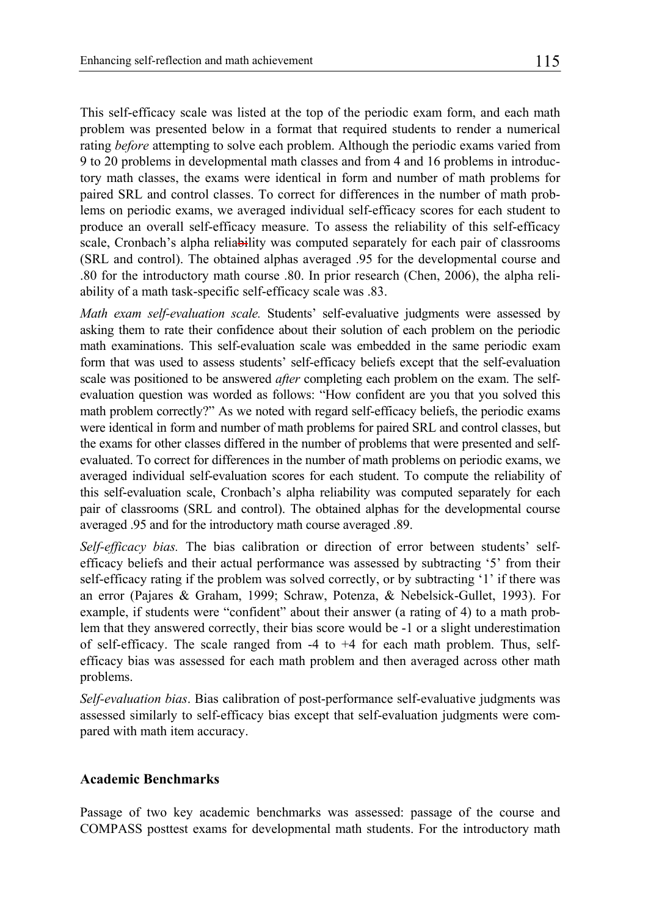This self-efficacy scale was listed at the top of the periodic exam form, and each math problem was presented below in a format that required students to render a numerical rating *before* attempting to solve each problem. Although the periodic exams varied from 9 to 20 problems in developmental math classes and from 4 and 16 problems in introductory math classes, the exams were identical in form and number of math problems for paired SRL and control classes. To correct for differences in the number of math problems on periodic exams, we averaged individual self-efficacy scores for each student to produce an overall self-efficacy measure. To assess the reliability of this self-efficacy scale, Cronbach's alpha reliability was computed separately for each pair of classrooms (SRL and control). The obtained alphas averaged .95 for the developmental course and .80 for the introductory math course .80. In prior research (Chen, 2006), the alpha reliability of a math task-specific self-efficacy scale was .83.

*Math exam self-evaluation scale.* Students' self-evaluative judgments were assessed by asking them to rate their confidence about their solution of each problem on the periodic math examinations. This self-evaluation scale was embedded in the same periodic exam form that was used to assess students' self-efficacy beliefs except that the self-evaluation scale was positioned to be answered *after* completing each problem on the exam. The selfevaluation question was worded as follows: "How confident are you that you solved this math problem correctly?" As we noted with regard self-efficacy beliefs, the periodic exams were identical in form and number of math problems for paired SRL and control classes, but the exams for other classes differed in the number of problems that were presented and selfevaluated. To correct for differences in the number of math problems on periodic exams, we averaged individual self-evaluation scores for each student. To compute the reliability of this self-evaluation scale, Cronbach's alpha reliability was computed separately for each pair of classrooms (SRL and control). The obtained alphas for the developmental course averaged .95 and for the introductory math course averaged .89.

*Self-efficacy bias.* The bias calibration or direction of error between students' selfefficacy beliefs and their actual performance was assessed by subtracting '5' from their self-efficacy rating if the problem was solved correctly, or by subtracting '1' if there was an error (Pajares & Graham, 1999; Schraw, Potenza, & Nebelsick-Gullet, 1993). For example, if students were "confident" about their answer (a rating of 4) to a math problem that they answered correctly, their bias score would be -1 or a slight underestimation of self-efficacy. The scale ranged from -4 to +4 for each math problem. Thus, selfefficacy bias was assessed for each math problem and then averaged across other math problems.

*Self-evaluation bias*. Bias calibration of post-performance self-evaluative judgments was assessed similarly to self-efficacy bias except that self-evaluation judgments were compared with math item accuracy.

#### **Academic Benchmarks**

Passage of two key academic benchmarks was assessed: passage of the course and COMPASS posttest exams for developmental math students. For the introductory math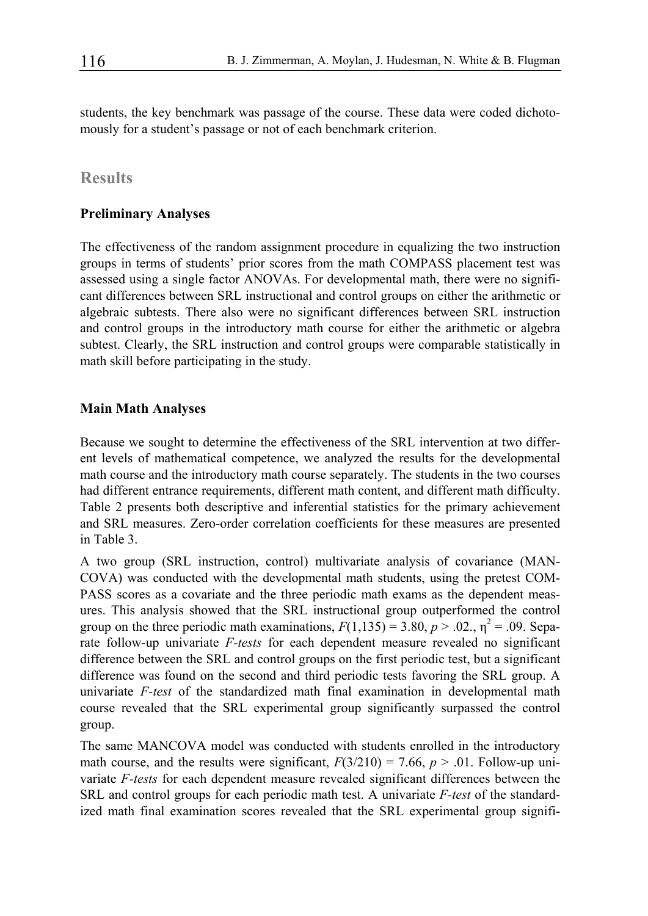students, the key benchmark was passage of the course. These data were coded dichotomously for a student's passage or not of each benchmark criterion.

## **Results**

#### **Preliminary Analyses**

The effectiveness of the random assignment procedure in equalizing the two instruction groups in terms of students' prior scores from the math COMPASS placement test was assessed using a single factor ANOVAs. For developmental math, there were no significant differences between SRL instructional and control groups on either the arithmetic or algebraic subtests. There also were no significant differences between SRL instruction and control groups in the introductory math course for either the arithmetic or algebra subtest. Clearly, the SRL instruction and control groups were comparable statistically in math skill before participating in the study.

#### **Main Math Analyses**

Because we sought to determine the effectiveness of the SRL intervention at two different levels of mathematical competence, we analyzed the results for the developmental math course and the introductory math course separately. The students in the two courses had different entrance requirements, different math content, and different math difficulty. Table 2 presents both descriptive and inferential statistics for the primary achievement and SRL measures. Zero-order correlation coefficients for these measures are presented in Table 3.

A two group (SRL instruction, control) multivariate analysis of covariance (MAN-COVA) was conducted with the developmental math students, using the pretest COM-PASS scores as a covariate and the three periodic math exams as the dependent measures. This analysis showed that the SRL instructional group outperformed the control group on the three periodic math examinations,  $F(1,135) = 3.80, p > .02, \eta^2 = .09$ . Separate follow-up univariate *F-tests* for each dependent measure revealed no significant difference between the SRL and control groups on the first periodic test, but a significant difference was found on the second and third periodic tests favoring the SRL group. A univariate *F-test* of the standardized math final examination in developmental math course revealed that the SRL experimental group significantly surpassed the control group.

The same MANCOVA model was conducted with students enrolled in the introductory math course, and the results were significant,  $F(3/210) = 7.66$ ,  $p > .01$ . Follow-up univariate *F-tests* for each dependent measure revealed significant differences between the SRL and control groups for each periodic math test. A univariate *F-test* of the standardized math final examination scores revealed that the SRL experimental group signifi-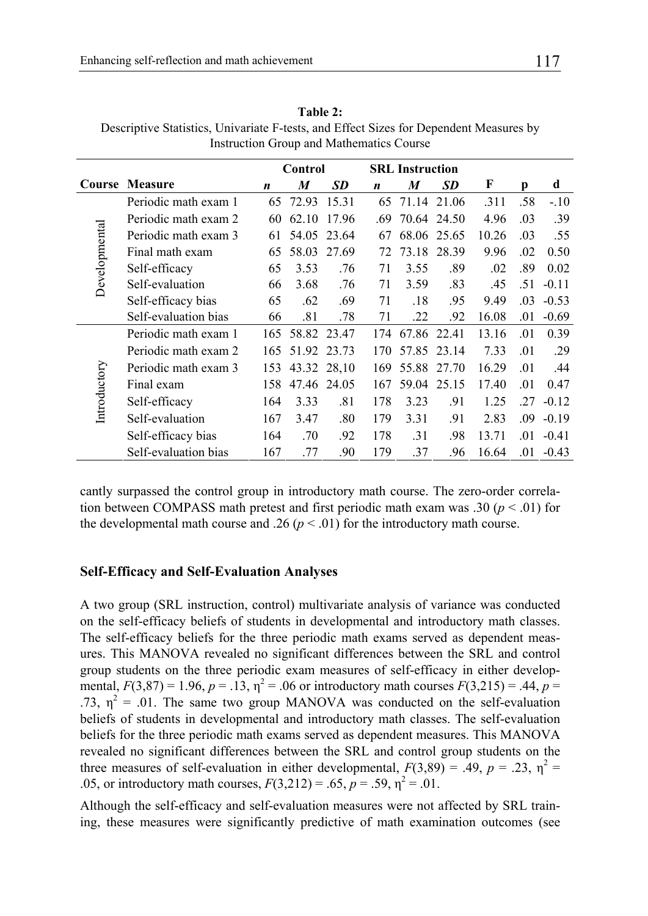|               |                      | Control |             | <b>SRL</b> Instruction |     |             |             |       |     |         |
|---------------|----------------------|---------|-------------|------------------------|-----|-------------|-------------|-------|-----|---------|
| Course        | Measure              | n       | M           | <b>SD</b>              | n   | M           | <b>SD</b>   | F     | р   | d       |
|               | Periodic math exam 1 | 65      | 72.93       | 15.31                  | 65  |             | 71.14 21.06 | .311  | .58 | $-.10$  |
|               | Periodic math exam 2 | 60      | 62.10       | 17.96                  | .69 | 70.64 24.50 |             | 4.96  | .03 | .39     |
|               | Periodic math exam 3 | 61      |             | 54.05 23.64            | 67  |             | 68.06 25.65 | 10.26 | .03 | .55     |
|               | Final math exam      | 65      | 58.03       | 27.69                  | 72  | 73.18       | 28.39       | 9.96  | .02 | 0.50    |
| Developmental | Self-efficacy        | 65      | 3.53        | .76                    | 71  | 3.55        | .89         | .02   | .89 | 0.02    |
|               | Self-evaluation      | 66      | 3.68        | .76                    | 71  | 3.59        | .83         | .45   | .51 | $-0.11$ |
|               | Self-efficacy bias   | 65      | .62         | .69                    | 71  | .18         | .95         | 9.49  | .03 | $-0.53$ |
|               | Self-evaluation bias | 66      | .81         | .78                    | 71  | .22         | .92         | 16.08 | .01 | $-0.69$ |
|               | Periodic math exam 1 | 165     |             | 58.82 23.47            | 174 | 67.86 22.41 |             | 13.16 | .01 | 0.39    |
|               | Periodic math exam 2 | 165     |             | 51.92 23.73            | 170 |             | 57.85 23.14 | 7.33  | .01 | .29     |
|               | Periodic math exam 3 | 153     | 43.32 28,10 |                        | 169 | 55.88 27.70 |             | 16.29 | .01 | .44     |
| Introductory  | Final exam           | 158     | 47.46 24.05 |                        | 167 | 59.04       | 25.15       | 17.40 | .01 | 0.47    |
|               | Self-efficacy        | 164     | 3.33        | .81                    | 178 | 3.23        | .91         | 1.25  | .27 | $-0.12$ |
|               | Self-evaluation      | 167     | 3.47        | .80                    | 179 | 3.31        | .91         | 2.83  | .09 | $-0.19$ |
|               | Self-efficacy bias   | 164     | .70         | .92                    | 178 | .31         | .98         | 13.71 | .01 | $-0.41$ |

**Table 2:**  Descriptive Statistics, Univariate F-tests, and Effect Sizes for Dependent Measures by Instruction Group and Mathematics Course

cantly surpassed the control group in introductory math course. The zero-order correlation between COMPASS math pretest and first periodic math exam was .30 ( $p < .01$ ) for the developmental math course and .26 ( $p < .01$ ) for the introductory math course.

Self-evaluation bias 167 .77 .90 179 .37 .96 16.64 .01 -0.43

#### **Self-Efficacy and Self-Evaluation Analyses**

A two group (SRL instruction, control) multivariate analysis of variance was conducted on the self-efficacy beliefs of students in developmental and introductory math classes. The self-efficacy beliefs for the three periodic math exams served as dependent measures. This MANOVA revealed no significant differences between the SRL and control group students on the three periodic exam measures of self-efficacy in either developmental,  $F(3,87) = 1.96$ ,  $p = .13$ ,  $\eta^2 = .06$  or introductory math courses  $F(3,215) = .44$ ,  $p =$ .73,  $\eta^2$  = .01. The same two group MANOVA was conducted on the self-evaluation beliefs of students in developmental and introductory math classes. The self-evaluation beliefs for the three periodic math exams served as dependent measures. This MANOVA revealed no significant differences between the SRL and control group students on the three measures of self-evaluation in either developmental,  $F(3,89) = .49$ ,  $p = .23$ ,  $\eta^2 =$ .05, or introductory math courses,  $F(3,212) = .65$ ,  $p = .59$ ,  $p^2 = .01$ .

Although the self-efficacy and self-evaluation measures were not affected by SRL training, these measures were significantly predictive of math examination outcomes (see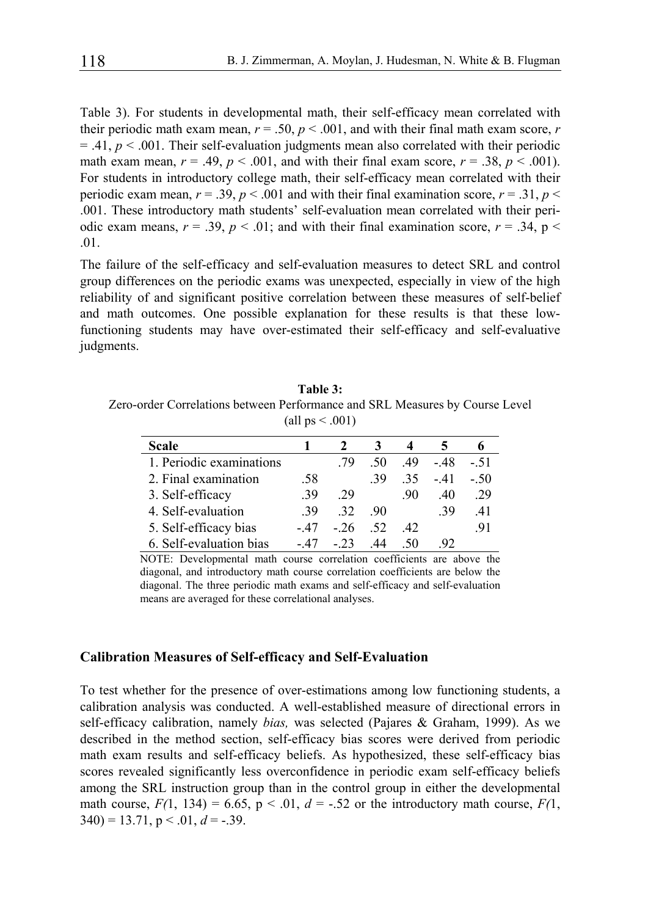Table 3). For students in developmental math, their self-efficacy mean correlated with their periodic math exam mean,  $r = .50$ ,  $p < .001$ , and with their final math exam score, *r*  $=$  .41,  $p \lt 0.001$ . Their self-evaluation judgments mean also correlated with their periodic math exam mean,  $r = .49$ ,  $p < .001$ , and with their final exam score,  $r = .38$ ,  $p < .001$ ). For students in introductory college math, their self-efficacy mean correlated with their periodic exam mean,  $r = .39$ ,  $p < .001$  and with their final examination score,  $r = .31$ ,  $p <$ .001. These introductory math students' self-evaluation mean correlated with their periodic exam means,  $r = .39$ ,  $p < .01$ ; and with their final examination score,  $r = .34$ ,  $p <$ .01.

The failure of the self-efficacy and self-evaluation measures to detect SRL and control group differences on the periodic exams was unexpected, especially in view of the high reliability of and significant positive correlation between these measures of self-belief and math outcomes. One possible explanation for these results is that these lowfunctioning students may have over-estimated their self-efficacy and self-evaluative judgments.

**Table 3:**  Zero-order Correlations between Performance and SRL Measures by Course Level (all  $ps < .001$ )

| <b>Scale</b>             |      |       |     |      |       | o     |
|--------------------------|------|-------|-----|------|-------|-------|
| 1. Periodic examinations |      | -79   | -50 | 49   | - 48  | $-51$ |
| 2. Final examination     | .58  |       | -39 | -35  | $-41$ | $-50$ |
| 3. Self-efficacy         | -39  | 29    |     | -90  | 40    | .29   |
| 4. Self-evaluation       | -39  | -32   | -90 |      | -39   | 41    |
| 5. Self-efficacy bias    | - 47 | $-26$ | -52 | -42. |       | .91   |
| 6. Self-evaluation bias  | - 47 | $-23$ | 44  | -50  | 92    |       |

NOTE: Developmental math course correlation coefficients are above the diagonal, and introductory math course correlation coefficients are below the diagonal. The three periodic math exams and self-efficacy and self-evaluation means are averaged for these correlational analyses.

#### **Calibration Measures of Self-efficacy and Self-Evaluation**

To test whether for the presence of over-estimations among low functioning students, a calibration analysis was conducted. A well-established measure of directional errors in self-efficacy calibration, namely *bias,* was selected (Pajares & Graham, 1999). As we described in the method section, self-efficacy bias scores were derived from periodic math exam results and self-efficacy beliefs. As hypothesized, these self-efficacy bias scores revealed significantly less overconfidence in periodic exam self-efficacy beliefs among the SRL instruction group than in the control group in either the developmental math course,  $F(1, 134) = 6.65$ ,  $p < .01$ ,  $d = -.52$  or the introductory math course,  $F(1, 134)$  $340$ ) = 13.71, p < .01,  $d$  = -.39.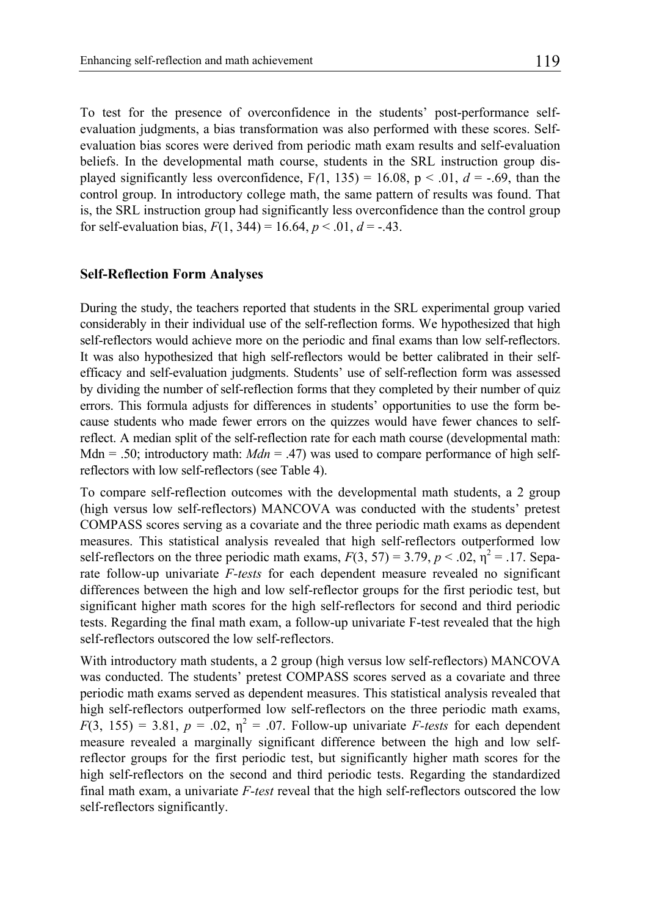To test for the presence of overconfidence in the students' post-performance selfevaluation judgments, a bias transformation was also performed with these scores. Selfevaluation bias scores were derived from periodic math exam results and self-evaluation beliefs. In the developmental math course, students in the SRL instruction group displayed significantly less overconfidence,  $F(1, 135) = 16.08$ ,  $p < .01$ ,  $d = -.69$ , than the control group. In introductory college math, the same pattern of results was found. That is, the SRL instruction group had significantly less overconfidence than the control group for self-evaluation bias,  $F(1, 344) = 16.64$ ,  $p < .01$ ,  $d = -.43$ .

#### **Self-Reflection Form Analyses**

During the study, the teachers reported that students in the SRL experimental group varied considerably in their individual use of the self-reflection forms. We hypothesized that high self-reflectors would achieve more on the periodic and final exams than low self-reflectors. It was also hypothesized that high self-reflectors would be better calibrated in their selfefficacy and self-evaluation judgments. Students' use of self-reflection form was assessed by dividing the number of self-reflection forms that they completed by their number of quiz errors. This formula adjusts for differences in students' opportunities to use the form because students who made fewer errors on the quizzes would have fewer chances to selfreflect. A median split of the self-reflection rate for each math course (developmental math: Mdn = .50; introductory math:  $Mdn = .47$ ) was used to compare performance of high selfreflectors with low self-reflectors (see Table 4).

To compare self-reflection outcomes with the developmental math students, a 2 group (high versus low self-reflectors) MANCOVA was conducted with the students' pretest COMPASS scores serving as a covariate and the three periodic math exams as dependent measures. This statistical analysis revealed that high self-reflectors outperformed low self-reflectors on the three periodic math exams,  $F(3, 57) = 3.79$ ,  $p < .02$ ,  $\eta^2 = .17$ . Separate follow-up univariate *F-tests* for each dependent measure revealed no significant differences between the high and low self-reflector groups for the first periodic test, but significant higher math scores for the high self-reflectors for second and third periodic tests. Regarding the final math exam, a follow-up univariate F-test revealed that the high self-reflectors outscored the low self-reflectors.

With introductory math students, a 2 group (high versus low self-reflectors) MANCOVA was conducted. The students' pretest COMPASS scores served as a covariate and three periodic math exams served as dependent measures. This statistical analysis revealed that high self-reflectors outperformed low self-reflectors on the three periodic math exams,  $F(3, 155) = 3.81$ ,  $p = .02$ ,  $\eta^2 = .07$ . Follow-up univariate *F-tests* for each dependent measure revealed a marginally significant difference between the high and low selfreflector groups for the first periodic test, but significantly higher math scores for the high self-reflectors on the second and third periodic tests. Regarding the standardized final math exam, a univariate *F-test* reveal that the high self-reflectors outscored the low self-reflectors significantly.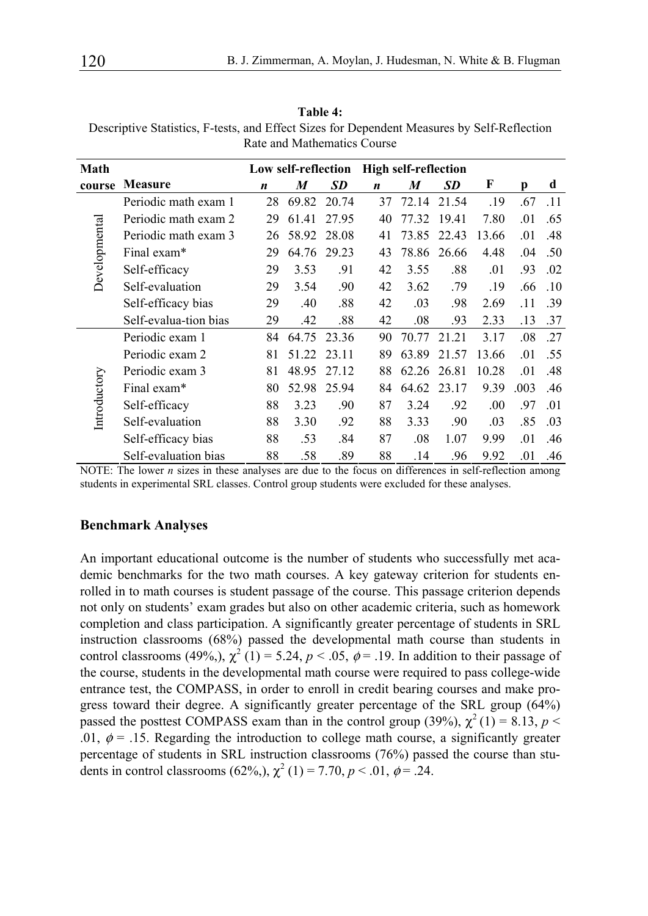| Math          |                       | Low self-reflection |       | <b>High self-reflection</b> |    |       |           |       |      |     |
|---------------|-----------------------|---------------------|-------|-----------------------------|----|-------|-----------|-------|------|-----|
| course        | Measure               | n                   | M     | SD                          | n  | M     | <b>SD</b> | F     | Ŋ    | d   |
|               | Periodic math exam 1  | 28                  | 69.82 | 20.74                       | 37 | 72.14 | 21.54     | .19   | .67  | .11 |
|               | Periodic math exam 2  | 29                  | 61.41 | 27.95                       | 40 | 77.32 | 19.41     | 7.80  | .01  | .65 |
|               | Periodic math exam 3  | 26                  | 58.92 | 28.08                       | 41 | 73.85 | 22.43     | 13.66 | .01  | .48 |
| Developmental | Final exam*           | 29                  | 64.76 | 29.23                       | 43 | 78.86 | 26.66     | 4.48  | .04  | .50 |
|               | Self-efficacy         | 29                  | 3.53  | .91                         | 42 | 3.55  | .88       | .01   | .93  | .02 |
|               | Self-evaluation       | 29                  | 3.54  | .90                         | 42 | 3.62  | .79       | .19   | .66  | .10 |
|               | Self-efficacy bias    | 29                  | .40   | .88                         | 42 | .03   | .98       | 2.69  | .11  | .39 |
|               | Self-evalua-tion bias | 29                  | .42   | .88                         | 42 | .08   | .93       | 2.33  | .13  | .37 |
|               | Periodic exam 1       | 84                  | 64.75 | 23.36                       | 90 | 70.77 | 21.21     | 3.17  | .08  | .27 |
|               | Periodic exam 2       | 81                  | 51.22 | 23.11                       | 89 | 63.89 | 21.57     | 13.66 | .01  | .55 |
|               | Periodic exam 3       | 81                  | 48.95 | 27.12                       | 88 | 62.26 | 26.81     | 10.28 | .01  | .48 |
|               | Final exam*           | 80                  | 52.98 | 25.94                       | 84 | 64.62 | 23.17     | 9.39  | .003 | .46 |
| Introductory  | Self-efficacy         | 88                  | 3.23  | .90                         | 87 | 3.24  | .92       | .00.  | .97  | .01 |
|               | Self-evaluation       | 88                  | 3.30  | .92                         | 88 | 3.33  | .90       | .03   | .85  | .03 |
|               | Self-efficacy bias    | 88                  | .53   | .84                         | 87 | .08   | 1.07      | 9.99  | .01  | .46 |
|               | Self-evaluation bias  | 88                  | .58   | .89                         | 88 | .14   | .96       | 9.92  | .01  | .46 |

**Table 4:**  Descriptive Statistics, F-tests, and Effect Sizes for Dependent Measures by Self-Reflection Rate and Mathematics Course

NOTE: The lower *n* sizes in these analyses are due to the focus on differences in self-reflection among students in experimental SRL classes. Control group students were excluded for these analyses.

#### **Benchmark Analyses**

An important educational outcome is the number of students who successfully met academic benchmarks for the two math courses. A key gateway criterion for students enrolled in to math courses is student passage of the course. This passage criterion depends not only on students' exam grades but also on other academic criteria, such as homework completion and class participation. A significantly greater percentage of students in SRL instruction classrooms (68%) passed the developmental math course than students in control classrooms (49%),  $\chi^2$  (1) = 5.24,  $p < .05$ ,  $\phi = .19$ . In addition to their passage of the course, students in the developmental math course were required to pass college-wide entrance test, the COMPASS, in order to enroll in credit bearing courses and make progress toward their degree. A significantly greater percentage of the SRL group (64%) passed the posttest COMPASS exam than in the control group (39%),  $\chi^2(1) = 8.13$ ,  $p <$ .01,  $\phi$  = .15. Regarding the introduction to college math course, a significantly greater percentage of students in SRL instruction classrooms (76%) passed the course than students in control classrooms (62%,),  $\chi^2$  (1) = 7.70,  $p < .01$ ,  $\phi = .24$ .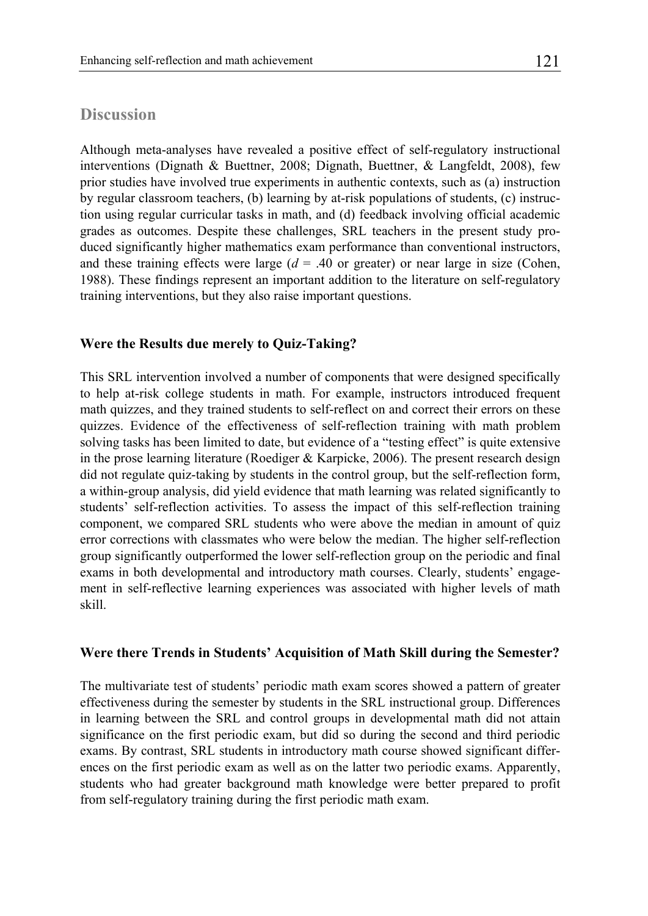## **Discussion**

Although meta-analyses have revealed a positive effect of self-regulatory instructional interventions (Dignath & Buettner, 2008; Dignath, Buettner, & Langfeldt, 2008), few prior studies have involved true experiments in authentic contexts, such as (a) instruction by regular classroom teachers, (b) learning by at-risk populations of students, (c) instruction using regular curricular tasks in math, and (d) feedback involving official academic grades as outcomes. Despite these challenges, SRL teachers in the present study produced significantly higher mathematics exam performance than conventional instructors, and these training effects were large  $(d = .40 \text{ or greater})$  or near large in size (Cohen, 1988). These findings represent an important addition to the literature on self-regulatory training interventions, but they also raise important questions.

## **Were the Results due merely to Quiz-Taking?**

This SRL intervention involved a number of components that were designed specifically to help at-risk college students in math. For example, instructors introduced frequent math quizzes, and they trained students to self-reflect on and correct their errors on these quizzes. Evidence of the effectiveness of self-reflection training with math problem solving tasks has been limited to date, but evidence of a "testing effect" is quite extensive in the prose learning literature (Roediger  $\&$  Karpicke, 2006). The present research design did not regulate quiz-taking by students in the control group, but the self-reflection form, a within-group analysis, did yield evidence that math learning was related significantly to students' self-reflection activities. To assess the impact of this self-reflection training component, we compared SRL students who were above the median in amount of quiz error corrections with classmates who were below the median. The higher self-reflection group significantly outperformed the lower self-reflection group on the periodic and final exams in both developmental and introductory math courses. Clearly, students' engagement in self-reflective learning experiences was associated with higher levels of math skill.

#### **Were there Trends in Students' Acquisition of Math Skill during the Semester?**

The multivariate test of students' periodic math exam scores showed a pattern of greater effectiveness during the semester by students in the SRL instructional group. Differences in learning between the SRL and control groups in developmental math did not attain significance on the first periodic exam, but did so during the second and third periodic exams. By contrast, SRL students in introductory math course showed significant differences on the first periodic exam as well as on the latter two periodic exams. Apparently, students who had greater background math knowledge were better prepared to profit from self-regulatory training during the first periodic math exam.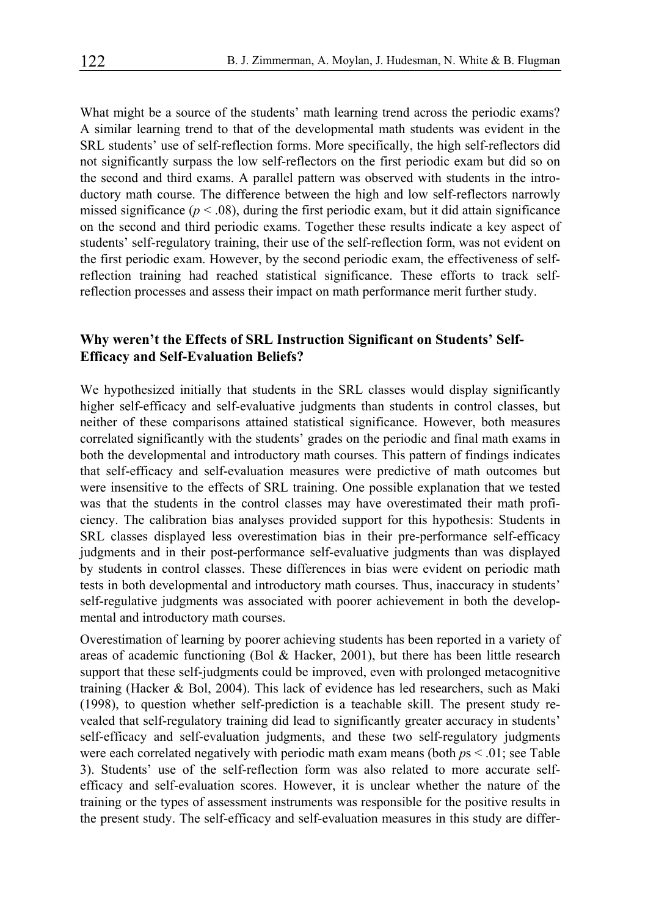What might be a source of the students' math learning trend across the periodic exams? A similar learning trend to that of the developmental math students was evident in the SRL students' use of self-reflection forms. More specifically, the high self-reflectors did not significantly surpass the low self-reflectors on the first periodic exam but did so on the second and third exams. A parallel pattern was observed with students in the introductory math course. The difference between the high and low self-reflectors narrowly missed significance  $(p < .08)$ , during the first periodic exam, but it did attain significance on the second and third periodic exams. Together these results indicate a key aspect of students' self-regulatory training, their use of the self-reflection form, was not evident on the first periodic exam. However, by the second periodic exam, the effectiveness of selfreflection training had reached statistical significance. These efforts to track selfreflection processes and assess their impact on math performance merit further study.

#### **Why weren't the Effects of SRL Instruction Significant on Students' Self-Efficacy and Self-Evaluation Beliefs?**

We hypothesized initially that students in the SRL classes would display significantly higher self-efficacy and self-evaluative judgments than students in control classes, but neither of these comparisons attained statistical significance. However, both measures correlated significantly with the students' grades on the periodic and final math exams in both the developmental and introductory math courses. This pattern of findings indicates that self-efficacy and self-evaluation measures were predictive of math outcomes but were insensitive to the effects of SRL training. One possible explanation that we tested was that the students in the control classes may have overestimated their math proficiency. The calibration bias analyses provided support for this hypothesis: Students in SRL classes displayed less overestimation bias in their pre-performance self-efficacy judgments and in their post-performance self-evaluative judgments than was displayed by students in control classes. These differences in bias were evident on periodic math tests in both developmental and introductory math courses. Thus, inaccuracy in students' self-regulative judgments was associated with poorer achievement in both the developmental and introductory math courses.

Overestimation of learning by poorer achieving students has been reported in a variety of areas of academic functioning (Bol & Hacker, 2001), but there has been little research support that these self-judgments could be improved, even with prolonged metacognitive training (Hacker & Bol, 2004). This lack of evidence has led researchers, such as Maki (1998), to question whether self-prediction is a teachable skill. The present study revealed that self-regulatory training did lead to significantly greater accuracy in students' self-efficacy and self-evaluation judgments, and these two self-regulatory judgments were each correlated negatively with periodic math exam means (both *p*s < .01; see Table 3). Students' use of the self-reflection form was also related to more accurate selfefficacy and self-evaluation scores. However, it is unclear whether the nature of the training or the types of assessment instruments was responsible for the positive results in the present study. The self-efficacy and self-evaluation measures in this study are differ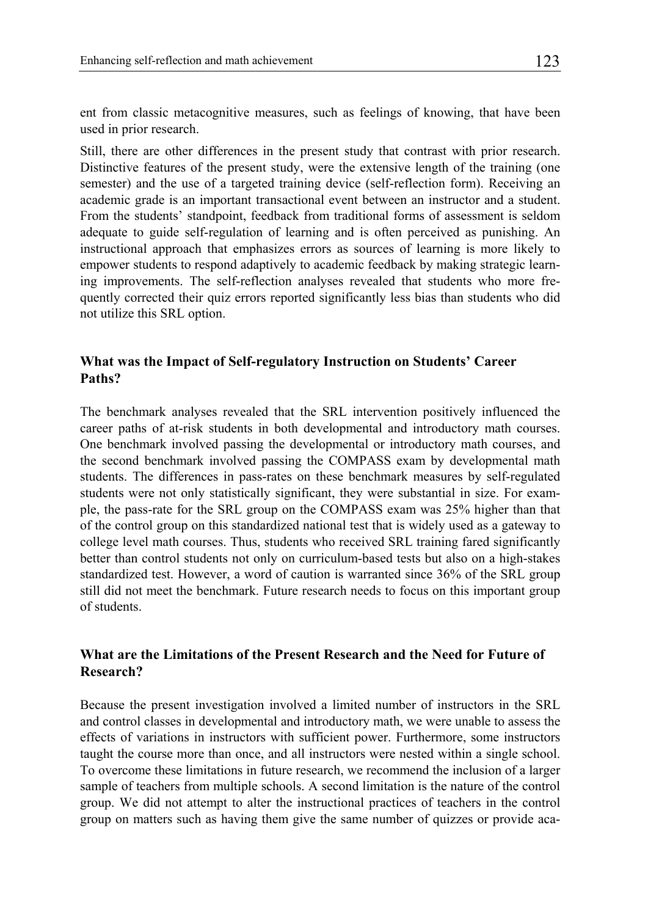ent from classic metacognitive measures, such as feelings of knowing, that have been used in prior research.

Still, there are other differences in the present study that contrast with prior research. Distinctive features of the present study, were the extensive length of the training (one semester) and the use of a targeted training device (self-reflection form). Receiving an academic grade is an important transactional event between an instructor and a student. From the students' standpoint, feedback from traditional forms of assessment is seldom adequate to guide self-regulation of learning and is often perceived as punishing. An instructional approach that emphasizes errors as sources of learning is more likely to empower students to respond adaptively to academic feedback by making strategic learning improvements. The self-reflection analyses revealed that students who more frequently corrected their quiz errors reported significantly less bias than students who did not utilize this SRL option.

## **What was the Impact of Self-regulatory Instruction on Students' Career Paths?**

The benchmark analyses revealed that the SRL intervention positively influenced the career paths of at-risk students in both developmental and introductory math courses. One benchmark involved passing the developmental or introductory math courses, and the second benchmark involved passing the COMPASS exam by developmental math students. The differences in pass-rates on these benchmark measures by self-regulated students were not only statistically significant, they were substantial in size. For example, the pass-rate for the SRL group on the COMPASS exam was 25% higher than that of the control group on this standardized national test that is widely used as a gateway to college level math courses. Thus, students who received SRL training fared significantly better than control students not only on curriculum-based tests but also on a high-stakes standardized test. However, a word of caution is warranted since 36% of the SRL group still did not meet the benchmark. Future research needs to focus on this important group of students.

## **What are the Limitations of the Present Research and the Need for Future of Research?**

Because the present investigation involved a limited number of instructors in the SRL and control classes in developmental and introductory math, we were unable to assess the effects of variations in instructors with sufficient power. Furthermore, some instructors taught the course more than once, and all instructors were nested within a single school. To overcome these limitations in future research, we recommend the inclusion of a larger sample of teachers from multiple schools. A second limitation is the nature of the control group. We did not attempt to alter the instructional practices of teachers in the control group on matters such as having them give the same number of quizzes or provide aca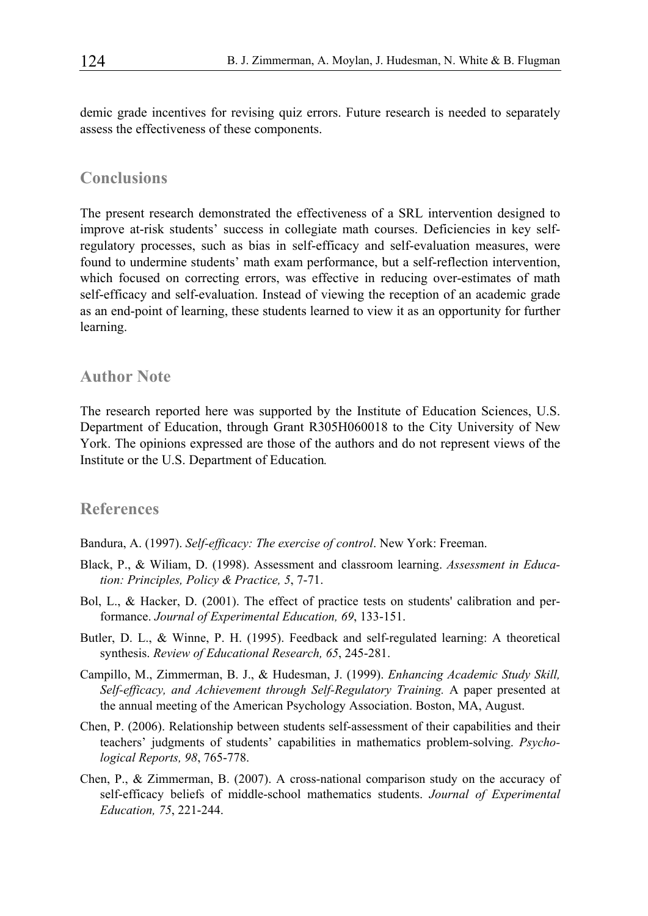demic grade incentives for revising quiz errors. Future research is needed to separately assess the effectiveness of these components.

#### **Conclusions**

The present research demonstrated the effectiveness of a SRL intervention designed to improve at-risk students' success in collegiate math courses. Deficiencies in key selfregulatory processes, such as bias in self-efficacy and self-evaluation measures, were found to undermine students' math exam performance, but a self-reflection intervention, which focused on correcting errors, was effective in reducing over-estimates of math self-efficacy and self-evaluation. Instead of viewing the reception of an academic grade as an end-point of learning, these students learned to view it as an opportunity for further learning.

## **Author Note**

The research reported here was supported by the Institute of Education Sciences, U.S. Department of Education, through Grant R305H060018 to the City University of New York. The opinions expressed are those of the authors and do not represent views of the Institute or the U.S. Department of Education*.*

## **References**

Bandura, A. (1997). *Self-efficacy: The exercise of control*. New York: Freeman.

- Black, P., & Wiliam, D. (1998). Assessment and classroom learning. *Assessment in Education: Principles, Policy & Practice, 5*, 7-71.
- Bol, L., & Hacker, D. (2001). The effect of practice tests on students' calibration and performance. *Journal of Experimental Education, 69*, 133-151.
- Butler, D. L., & Winne, P. H. (1995). Feedback and self-regulated learning: A theoretical synthesis. *Review of Educational Research, 65*, 245-281.
- Campillo, M., Zimmerman, B. J., & Hudesman, J. (1999). *Enhancing Academic Study Skill, Self-efficacy, and Achievement through Self-Regulatory Training.* A paper presented at the annual meeting of the American Psychology Association. Boston, MA, August.
- Chen, P. (2006). Relationship between students self-assessment of their capabilities and their teachers' judgments of students' capabilities in mathematics problem-solving. *Psychological Reports, 98*, 765-778.
- Chen, P., & Zimmerman, B. (2007). A cross-national comparison study on the accuracy of self-efficacy beliefs of middle-school mathematics students. *Journal of Experimental Education, 75*, 221-244.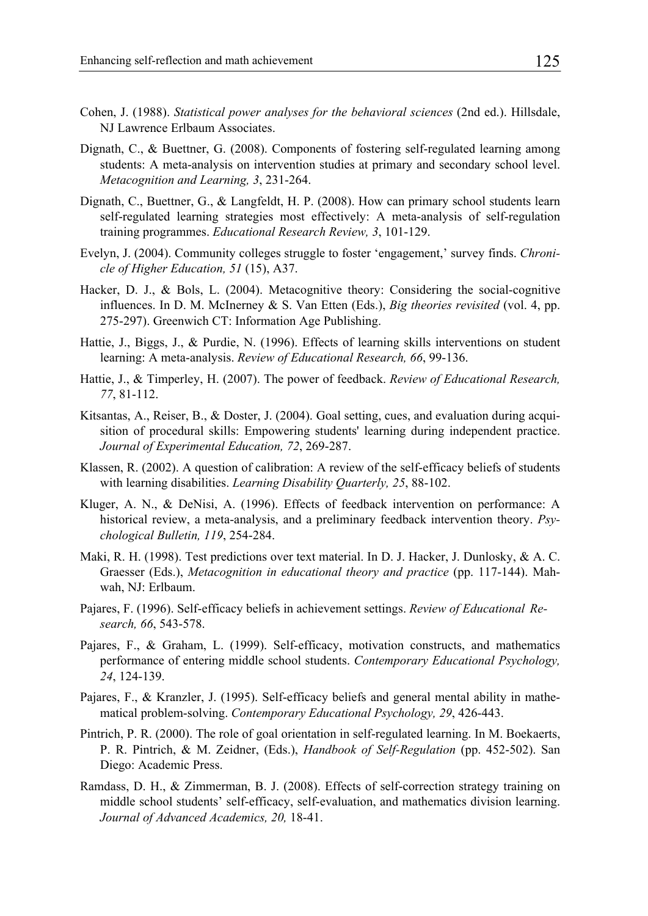- Cohen, J. (1988). *Statistical power analyses for the behavioral sciences* (2nd ed.). Hillsdale, NJ Lawrence Erlbaum Associates.
- Dignath, C., & Buettner, G. (2008). Components of fostering self-regulated learning among students: A meta-analysis on intervention studies at primary and secondary school level. *Metacognition and Learning, 3*, 231-264.
- Dignath, C., Buettner, G., & Langfeldt, H. P. (2008). How can primary school students learn self-regulated learning strategies most effectively: A meta-analysis of self-regulation training programmes. *Educational Research Review, 3*, 101-129.
- Evelyn, J. (2004). Community colleges struggle to foster 'engagement,' survey finds. *Chronicle of Higher Education, 51* (15), A37.
- Hacker, D. J., & Bols, L. (2004). Metacognitive theory: Considering the social-cognitive influences. In D. M. McInerney & S. Van Etten (Eds.), *Big theories revisited* (vol. 4, pp. 275-297). Greenwich CT: Information Age Publishing.
- Hattie, J., Biggs, J., & Purdie, N. (1996). Effects of learning skills interventions on student learning: A meta-analysis. *Review of Educational Research, 66*, 99-136.
- Hattie, J., & Timperley, H. (2007). The power of feedback. *Review of Educational Research, 77*, 81-112.
- Kitsantas, A., Reiser, B., & Doster, J. (2004). Goal setting, cues, and evaluation during acquisition of procedural skills: Empowering students' learning during independent practice. *Journal of Experimental Education, 72*, 269-287.
- Klassen, R. (2002). A question of calibration: A review of the self-efficacy beliefs of students with learning disabilities. *Learning Disability Quarterly, 25*, 88-102.
- Kluger, A. N., & DeNisi, A. (1996). Effects of feedback intervention on performance: A historical review, a meta-analysis, and a preliminary feedback intervention theory. *Psychological Bulletin, 119*, 254-284.
- Maki, R. H. (1998). Test predictions over text material. In D. J. Hacker, J. Dunlosky, & A. C. Graesser (Eds.), *Metacognition in educational theory and practice* (pp. 117-144). Mahwah, NJ: Erlbaum.
- Pajares, F. (1996). Self-efficacy beliefs in achievement settings. *Review of Educational Research, 66*, 543-578.
- Pajares, F., & Graham, L. (1999). Self-efficacy, motivation constructs, and mathematics performance of entering middle school students. *Contemporary Educational Psychology, 24*, 124-139.
- Pajares, F., & Kranzler, J. (1995). Self-efficacy beliefs and general mental ability in mathematical problem-solving. *Contemporary Educational Psychology, 29*, 426-443.
- Pintrich, P. R. (2000). The role of goal orientation in self-regulated learning. In M. Boekaerts, P. R. Pintrich, & M. Zeidner, (Eds.), *Handbook of Self-Regulation* (pp. 452-502). San Diego: Academic Press.
- Ramdass, D. H., & Zimmerman, B. J. (2008). Effects of self-correction strategy training on middle school students' self-efficacy, self-evaluation, and mathematics division learning. *Journal of Advanced Academics, 20,* 18-41.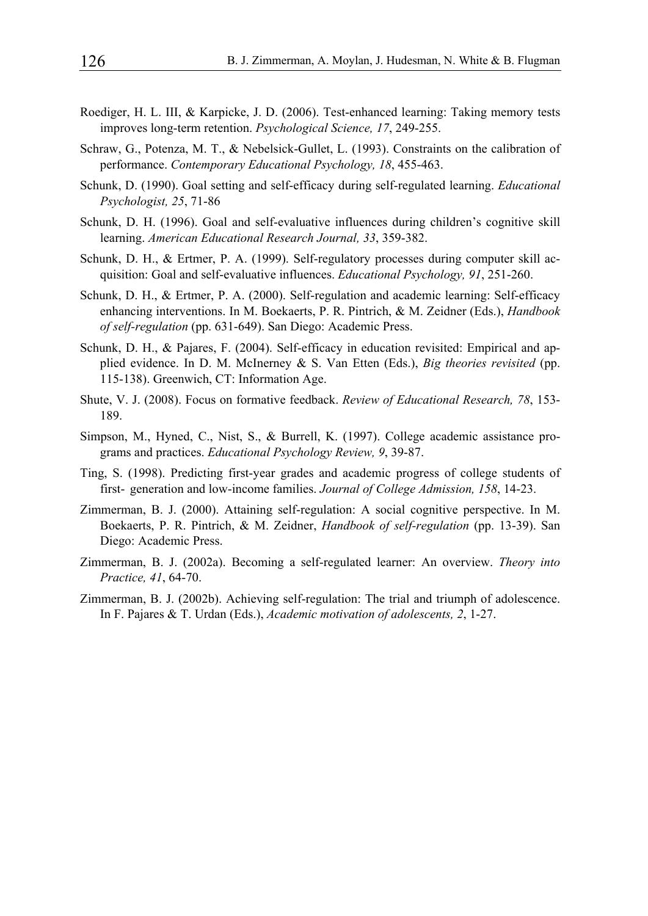- Roediger, H. L. III, & Karpicke, J. D. (2006). Test-enhanced learning: Taking memory tests improves long-term retention. *Psychological Science, 17*, 249-255.
- Schraw, G., Potenza, M. T., & Nebelsick-Gullet, L. (1993). Constraints on the calibration of performance. *Contemporary Educational Psychology, 18*, 455-463.
- Schunk, D. (1990). Goal setting and self-efficacy during self-regulated learning. *Educational Psychologist, 25*, 71-86
- Schunk, D. H. (1996). Goal and self-evaluative influences during children's cognitive skill learning. *American Educational Research Journal, 33*, 359-382.
- Schunk, D. H., & Ertmer, P. A. (1999). Self-regulatory processes during computer skill acquisition: Goal and self-evaluative influences. *Educational Psychology, 91*, 251-260.
- Schunk, D. H., & Ertmer, P. A. (2000). Self-regulation and academic learning: Self-efficacy enhancing interventions. In M. Boekaerts, P. R. Pintrich, & M. Zeidner (Eds.), *Handbook of self-regulation* (pp. 631-649). San Diego: Academic Press.
- Schunk, D. H., & Pajares, F. (2004). Self-efficacy in education revisited: Empirical and applied evidence. In D. M. McInerney & S. Van Etten (Eds.), *Big theories revisited* (pp. 115-138). Greenwich, CT: Information Age.
- Shute, V. J. (2008). Focus on formative feedback. *Review of Educational Research, 78*, 153- 189.
- Simpson, M., Hyned, C., Nist, S., & Burrell, K. (1997). College academic assistance programs and practices. *Educational Psychology Review, 9*, 39-87.
- Ting, S. (1998). Predicting first-year grades and academic progress of college students of first- generation and low-income families. *Journal of College Admission, 158*, 14-23.
- Zimmerman, B. J. (2000). Attaining self-regulation: A social cognitive perspective. In M. Boekaerts, P. R. Pintrich, & M. Zeidner, *Handbook of self-regulation* (pp. 13-39). San Diego: Academic Press.
- Zimmerman, B. J. (2002a). Becoming a self-regulated learner: An overview. *Theory into Practice, 41*, 64-70.
- Zimmerman, B. J. (2002b). Achieving self-regulation: The trial and triumph of adolescence. In F. Pajares & T. Urdan (Eds.), *Academic motivation of adolescents, 2*, 1-27.